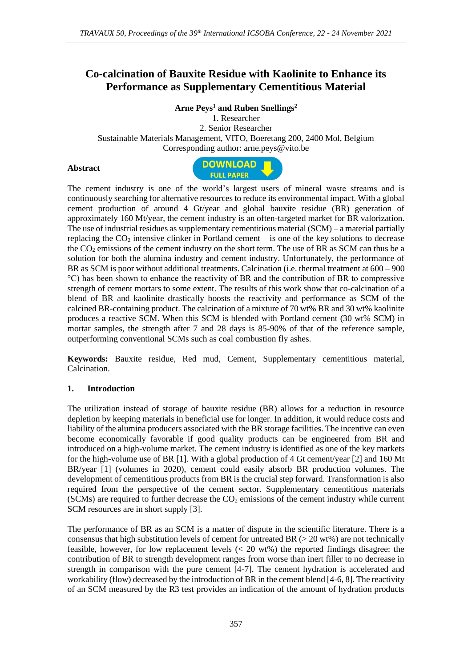# **Co-calcination of Bauxite Residue with Kaolinite to Enhance its Performance as Supplementary Cementitious Material**

### **Arne Peys<sup>1</sup> and Ruben Snellings<sup>2</sup>**

1. Researcher 2. Senior Researcher Sustainable Materials Management, VITO, Boeretang 200, 2400 Mol, Belgium Corresponding author: arne.peys@vito.be

#### **Abstract**



The cement industry is one of the world's largest users of mineral waste streams and is continuously searching for alternative resources to reduce its environmental impact. With a global cement production of around 4 Gt/year and global bauxite residue (BR) generation of approximately 160 Mt/year, the cement industry is an often-targeted market for BR valorization. The use of industrial residues as supplementary cementitious material (SCM) – a material partially replacing the  $CO<sub>2</sub>$  intensive clinker in Portland cement – is one of the key solutions to decrease the  $CO<sub>2</sub>$  emissions of the cement industry on the short term. The use of BR as SCM can thus be a solution for both the alumina industry and cement industry. Unfortunately, the performance of BR as SCM is poor without additional treatments. Calcination (i.e. thermal treatment at 600 – 900 °C) has been shown to enhance the reactivity of BR and the contribution of BR to compressive strength of cement mortars to some extent. The results of this work show that co-calcination of a blend of BR and kaolinite drastically boosts the reactivity and performance as SCM of the calcined BR-containing product. The calcination of a mixture of 70 wt% BR and 30 wt% kaolinite produces a reactive SCM. When this SCM is blended with Portland cement (30 wt% SCM) in mortar samples, the strength after 7 and 28 days is 85-90% of that of the reference sample, outperforming conventional SCMs such as coal combustion fly ashes.

**Keywords:** Bauxite residue, Red mud, Cement, Supplementary cementitious material, Calcination.

#### **1. Introduction**

The utilization instead of storage of bauxite residue (BR) allows for a reduction in resource depletion by keeping materials in beneficial use for longer. In addition, it would reduce costs and liability of the alumina producers associated with the BR storage facilities. The incentive can even become economically favorable if good quality products can be engineered from BR and introduced on a high-volume market. The cement industry is identified as one of the key markets for the high-volume use of BR [1]. With a global production of 4 Gt cement/year [2] and 160 Mt BR/year [1] (volumes in 2020), cement could easily absorb BR production volumes. The development of cementitious products from BR is the crucial step forward. Transformation is also required from the perspective of the cement sector. Supplementary cementitious materials (SCMs) are required to further decrease the  $CO<sub>2</sub>$  emissions of the cement industry while current SCM resources are in short supply [3].

The performance of BR as an SCM is a matter of dispute in the scientific literature. There is a consensus that high substitution levels of cement for untreated BR  $(> 20 \text{ wt\%})$  are not technically feasible, however, for low replacement levels ( $< 20$  wt%) the reported findings disagree: the contribution of BR to strength development ranges from worse than inert filler to no decrease in strength in comparison with the pure cement [4-7]. The cement hydration is accelerated and workability (flow) decreased by the introduction of BR in the cement blend [4-6, 8]. The reactivity of an SCM measured by the R3 test provides an indication of the amount of hydration products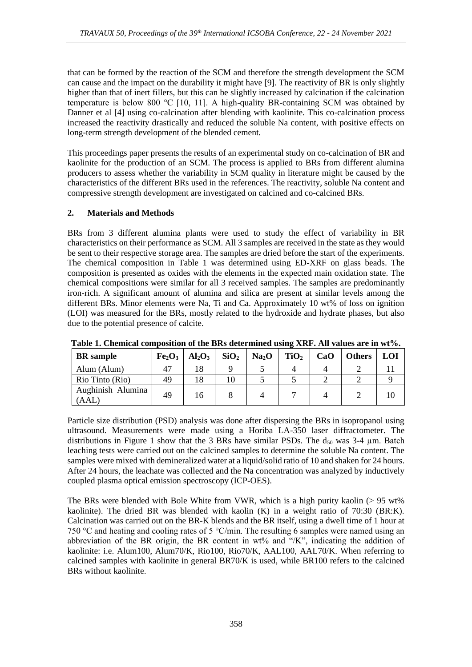that can be formed by the reaction of the SCM and therefore the strength development the SCM can cause and the impact on the durability it might have [9]. The reactivity of BR is only slightly higher than that of inert fillers, but this can be slightly increased by calcination if the calcination temperature is below 800 °C [10, 11]. A high-quality BR-containing SCM was obtained by Danner et al [4] using co-calcination after blending with kaolinite. This co-calcination process increased the reactivity drastically and reduced the soluble Na content, with positive effects on long-term strength development of the blended cement.

This proceedings paper presents the results of an experimental study on co-calcination of BR and kaolinite for the production of an SCM. The process is applied to BRs from different alumina producers to assess whether the variability in SCM quality in literature might be caused by the characteristics of the different BRs used in the references. The reactivity, soluble Na content and compressive strength development are investigated on calcined and co-calcined BRs.

## **2. Materials and Methods**

BRs from 3 different alumina plants were used to study the effect of variability in BR characteristics on their performance as SCM. All 3 samples are received in the state as they would be sent to their respective storage area. The samples are dried before the start of the experiments. The chemical composition in Table 1 was determined using ED-XRF on glass beads. The composition is presented as oxides with the elements in the expected main oxidation state. The chemical compositions were similar for all 3 received samples. The samples are predominantly iron-rich. A significant amount of alumina and silica are present at similar levels among the different BRs. Minor elements were Na, Ti and Ca. Approximately 10 wt% of loss on ignition (LOI) was measured for the BRs, mostly related to the hydroxide and hydrate phases, but also due to the potential presence of calcite.

| <b>BR</b> sample           | Fe <sub>2</sub> O <sub>3</sub> | $Al_2O_3$ | SiO <sub>2</sub> | Na <sub>2</sub> O | TiO <sub>2</sub> | CaO | <b>Others</b> | <b>LOI</b> |
|----------------------------|--------------------------------|-----------|------------------|-------------------|------------------|-----|---------------|------------|
| Alum (Alum)                | 47                             | 18        |                  |                   |                  |     |               |            |
| Rio Tinto (Rio)            | 49                             | 18        | 10               |                   |                  |     |               |            |
| Aughinish Alumina<br>(AAL) | 49                             |           |                  |                   |                  |     |               |            |

**Table 1. Chemical composition of the BRs determined using XRF. All values are in wt%.**

Particle size distribution (PSD) analysis was done after dispersing the BRs in isopropanol using ultrasound. Measurements were made using a Horiba LA-350 laser diffractometer. The distributions in Figure 1 show that the 3 BRs have similar PSDs. The  $d_{50}$  was 3-4  $\mu$ m. Batch leaching tests were carried out on the calcined samples to determine the soluble Na content. The samples were mixed with demineralized water at a liquid/solid ratio of 10 and shaken for 24 hours. After 24 hours, the leachate was collected and the Na concentration was analyzed by inductively coupled plasma optical emission spectroscopy (ICP-OES).

The BRs were blended with Bole White from VWR, which is a high purity kaolin ( $> 95$  wt%) kaolinite). The dried BR was blended with kaolin  $(K)$  in a weight ratio of 70:30 (BR:K). Calcination was carried out on the BR-K blends and the BR itself, using a dwell time of 1 hour at 750 °C and heating and cooling rates of 5 °C/min. The resulting 6 samples were named using an abbreviation of the BR origin, the BR content in wt% and "/K", indicating the addition of kaolinite: i.e. Alum100, Alum70/K, Rio100, Rio70/K, AAL100, AAL70/K. When referring to calcined samples with kaolinite in general BR70/K is used, while BR100 refers to the calcined BRs without kaolinite.